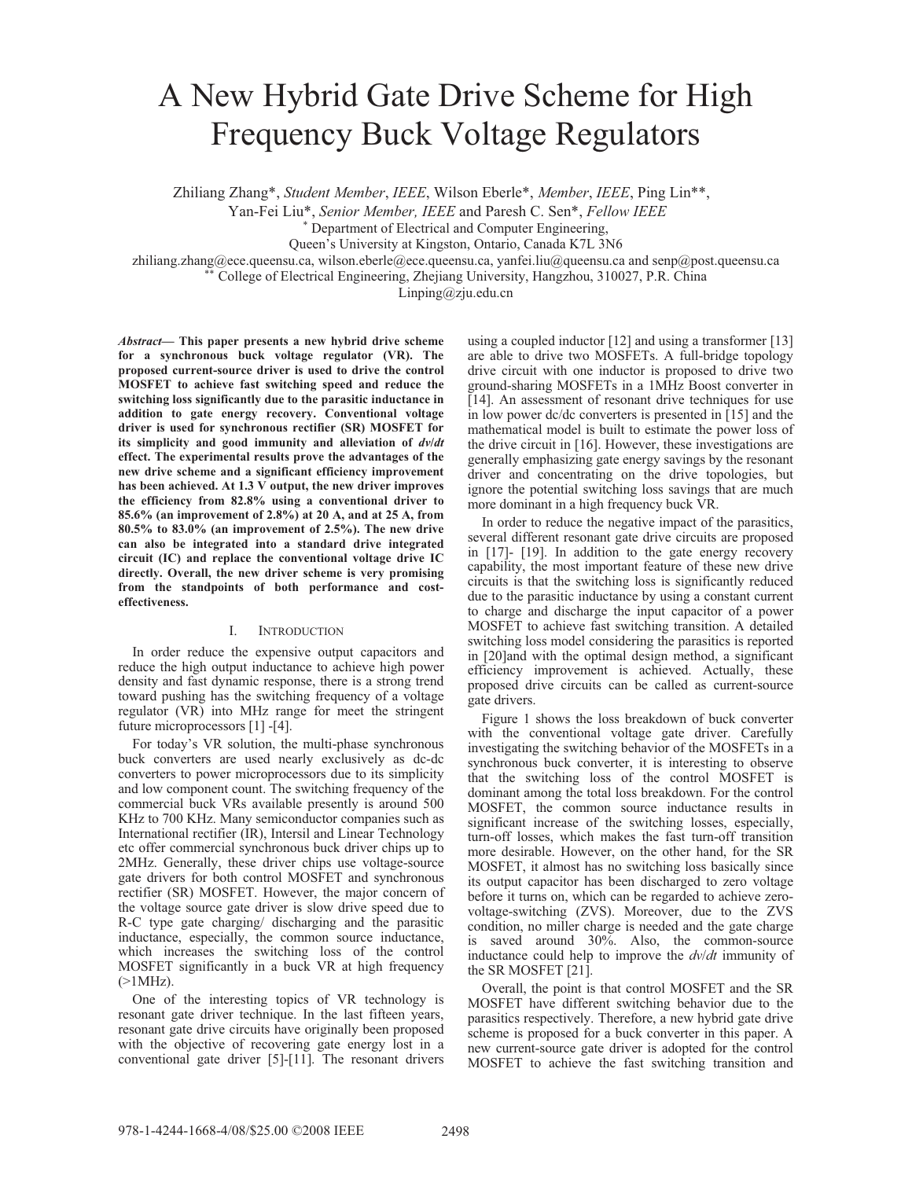# A New Hybrid Gate Drive Scheme for High Frequency Buck Voltage Regulators

Zhiliang Zhang\*, *Student Member*, *IEEE*, Wilson Eberle\*, *Member*, *IEEE*, Ping Lin\*\*,

Yan-Fei Liu\*, *Senior Member, IEEE* and Paresh C. Sen\*, *Fellow IEEE*

Department of Electrical and Computer Engineering,

Queen's University at Kingston, Ontario, Canada K7L 3N6

zhiliang.zhang@ece.queensu.ca, wilson.eberle@ece.queensu.ca, yanfei.liu@queensu.ca and senp@post.queensu.ca \*\* College of Electrical Engineering, Zhejiang University, Hangzhou, 310027, P.R. China

Linping@zju.edu.cn

*Abstract***— This paper presents a new hybrid drive scheme for a synchronous buck voltage regulator (VR). The proposed current-source driver is used to drive the control MOSFET to achieve fast switching speed and reduce the switching loss significantly due to the parasitic inductance in addition to gate energy recovery. Conventional voltage driver is used for synchronous rectifier (SR) MOSFET for its simplicity and good immunity and alleviation of** *dv***/***dt* **effect. The experimental results prove the advantages of the new drive scheme and a significant efficiency improvement has been achieved. At 1.3 V output, the new driver improves the efficiency from 82.8% using a conventional driver to 85.6% (an improvement of 2.8%) at 20 A, and at 25 A, from 80.5% to 83.0% (an improvement of 2.5%). The new drive can also be integrated into a standard drive integrated circuit (IC) and replace the conventional voltage drive IC directly. Overall, the new driver scheme is very promising from the standpoints of both performance and costeffectiveness.** 

# I. INTRODUCTION

In order reduce the expensive output capacitors and reduce the high output inductance to achieve high power density and fast dynamic response, there is a strong trend toward pushing has the switching frequency of a voltage regulator (VR) into MHz range for meet the stringent future microprocessors [1] -[4].

For today's VR solution, the multi-phase synchronous buck converters are used nearly exclusively as dc-dc converters to power microprocessors due to its simplicity and low component count. The switching frequency of the commercial buck VRs available presently is around 500 KHz to 700 KHz. Many semiconductor companies such as International rectifier (IR), Intersil and Linear Technology etc offer commercial synchronous buck driver chips up to 2MHz. Generally, these driver chips use voltage-source gate drivers for both control MOSFET and synchronous rectifier (SR) MOSFET. However, the major concern of the voltage source gate driver is slow drive speed due to R-C type gate charging/ discharging and the parasitic inductance, especially, the common source inductance, which increases the switching loss of the control MOSFET significantly in a buck VR at high frequency  $($ >1MHz).

One of the interesting topics of VR technology is resonant gate driver technique. In the last fifteen years, resonant gate drive circuits have originally been proposed with the objective of recovering gate energy lost in a conventional gate driver [5]-[11]. The resonant drivers using a coupled inductor [12] and using a transformer [13] are able to drive two MOSFETs. A full-bridge topology drive circuit with one inductor is proposed to drive two ground-sharing MOSFETs in a 1MHz Boost converter in [14]. An assessment of resonant drive techniques for use in low power dc/dc converters is presented in [15] and the mathematical model is built to estimate the power loss of the drive circuit in [16]. However, these investigations are generally emphasizing gate energy savings by the resonant driver and concentrating on the drive topologies, but ignore the potential switching loss savings that are much more dominant in a high frequency buck VR.

In order to reduce the negative impact of the parasitics, several different resonant gate drive circuits are proposed in [17]- [19]. In addition to the gate energy recovery capability, the most important feature of these new drive circuits is that the switching loss is significantly reduced due to the parasitic inductance by using a constant current to charge and discharge the input capacitor of a power MOSFET to achieve fast switching transition. A detailed switching loss model considering the parasitics is reported in [20]and with the optimal design method, a significant efficiency improvement is achieved. Actually, these proposed drive circuits can be called as current-source gate drivers.

Figure 1 shows the loss breakdown of buck converter with the conventional voltage gate driver. Carefully investigating the switching behavior of the MOSFETs in a synchronous buck converter, it is interesting to observe that the switching loss of the control MOSFET is dominant among the total loss breakdown. For the control MOSFET, the common source inductance results in significant increase of the switching losses, especially, turn-off losses, which makes the fast turn-off transition more desirable. However, on the other hand, for the SR MOSFET, it almost has no switching loss basically since its output capacitor has been discharged to zero voltage before it turns on, which can be regarded to achieve zerovoltage-switching (ZVS). Moreover, due to the ZVS condition, no miller charge is needed and the gate charge is saved around 30%. Also, the common-source inductance could help to improve the *dv*/*dt* immunity of the SR MOSFET [21].

Overall, the point is that control MOSFET and the SR MOSFET have different switching behavior due to the parasitics respectively. Therefore, a new hybrid gate drive scheme is proposed for a buck converter in this paper. A new current-source gate driver is adopted for the control MOSFET to achieve the fast switching transition and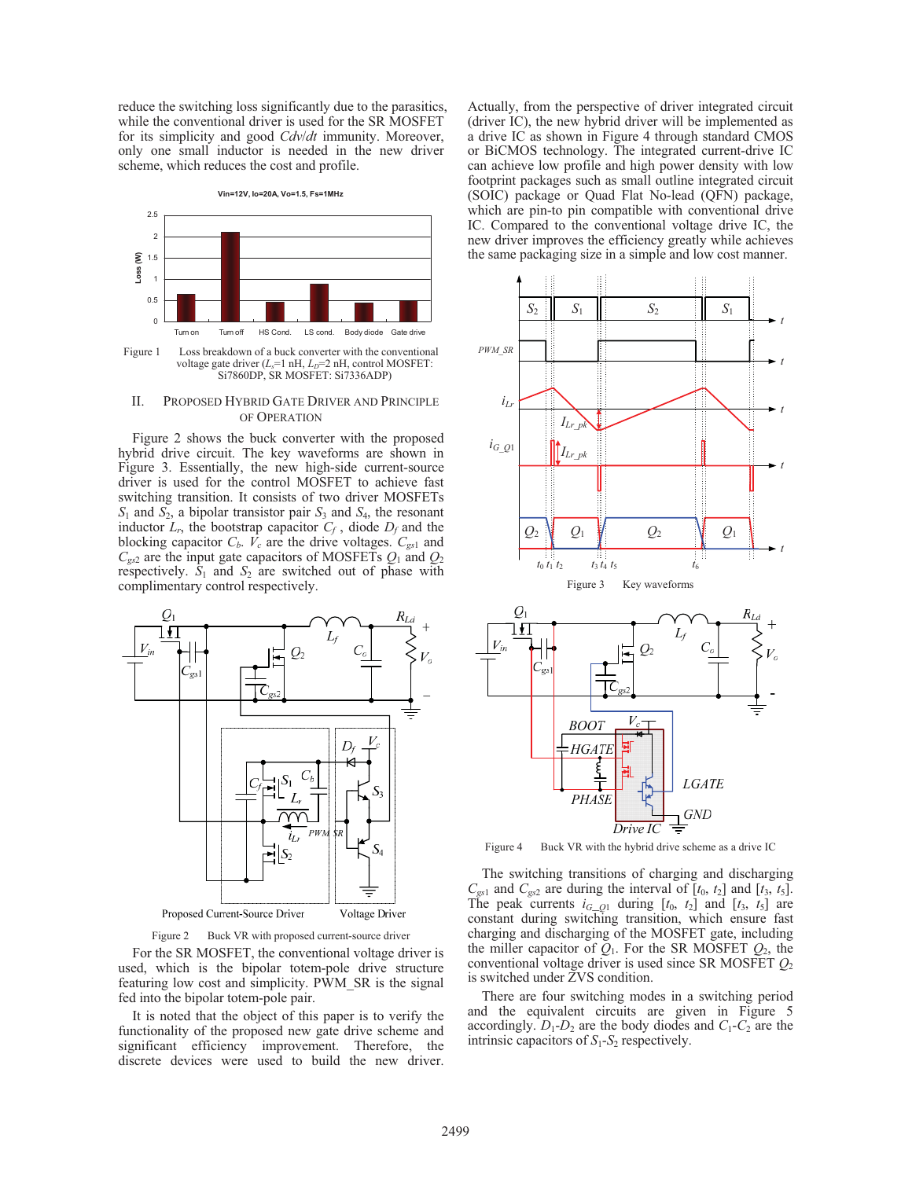reduce the switching loss significantly due to the parasitics, while the conventional driver is used for the SR MOSFET for its simplicity and good *Cdv*/*dt* immunity. Moreover, only one small inductor is needed in the new driver scheme, which reduces the cost and profile.

**Vin=12V, Io=20A, Vo=1.5, Fs=1MHz**



Figure 1 Loss breakdown of a buck converter with the conventional voltage gate driver (*L<sub>s</sub>*=1 nH, *L<sub>D</sub>*=2 nH, control MOSFET: Si7860DP, SR MOSFET: Si7336ADP)

# II. PROPOSED HYBRID GATE DRIVER AND PRINCIPLE OF OPERATION

Figure 2 shows the buck converter with the proposed hybrid drive circuit. The key waveforms are shown in Figure 3. Essentially, the new high-side current-source driver is used for the control MOSFET to achieve fast switching transition. It consists of two driver MOSFETs *S*1 and *S*2, a bipolar transistor pair *S*3 and *S*4, the resonant inductor  $L_r$ , the bootstrap capacitor  $C_f$ , diode  $D_f$  and the blocking capacitor  $C_b$ .  $V_c$  are the drive voltages.  $C_{gs1}$  and *Cgs*2 are the input gate capacitors of MOSFETs *Q*1 and *Q*<sup>2</sup> respectively.  $S_1$  and  $S_2$  are switched out of phase with complimentary control respectively.



Figure 2 Buck VR with proposed current-source driver

For the SR MOSFET, the conventional voltage driver is used, which is the bipolar totem-pole drive structure featuring low cost and simplicity. PWM\_SR is the signal fed into the bipolar totem-pole pair.

It is noted that the object of this paper is to verify the functionality of the proposed new gate drive scheme and significant efficiency improvement. Therefore, the discrete devices were used to build the new driver.

Actually, from the perspective of driver integrated circuit (driver IC), the new hybrid driver will be implemented as a drive IC as shown in Figure 4 through standard CMOS or BiCMOS technology. The integrated current-drive IC can achieve low profile and high power density with low footprint packages such as small outline integrated circuit (SOIC) package or Quad Flat No-lead (QFN) package, which are pin-to pin compatible with conventional drive IC. Compared to the conventional voltage drive IC, the new driver improves the efficiency greatly while achieves the same packaging size in a simple and low cost manner.



Figure 4 Buck VR with the hybrid drive scheme as a drive IC

The switching transitions of charging and discharging  $C_{gs1}$  and  $C_{gs2}$  are during the interval of  $[t_0, t_2]$  and  $[t_3, t_5]$ . The peak currents  $i_{G_1Q_1}$  during  $[t_0, t_2]$  and  $[t_3, t_5]$  are constant during switching transition, which ensure fast charging and discharging of the MOSFET gate, including the miller capacitor of  $Q_1$ . For the SR MOSFET  $Q_2$ , the conventional voltage driver is used since SR MOSFET *Q*<sup>2</sup> is switched under ZVS condition.

There are four switching modes in a switching period and the equivalent circuits are given in Figure 5 accordingly.  $D_1$ - $D_2$  are the body diodes and  $C_1$ - $C_2$  are the intrinsic capacitors of  $S_1$ - $S_2$  respectively.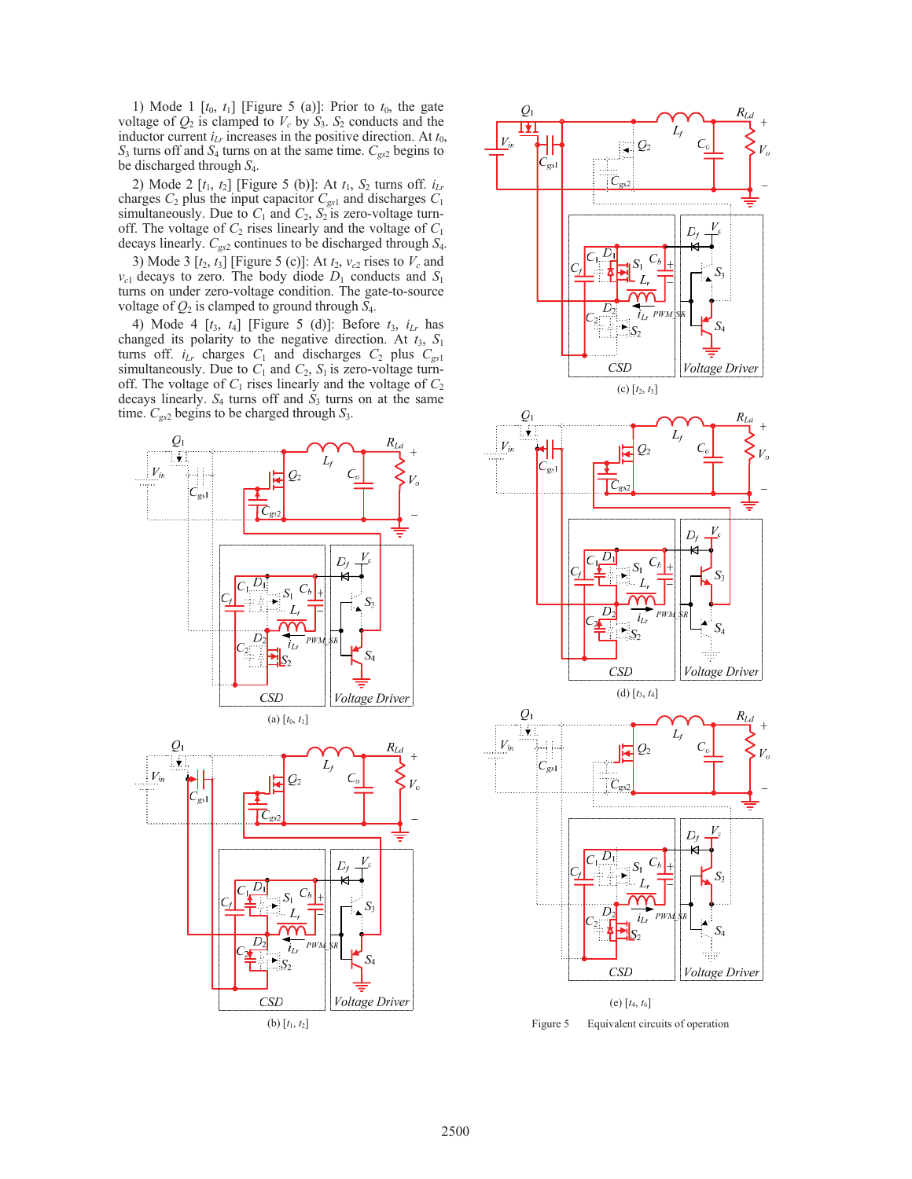1) Mode 1  $[t_0, t_1]$  [Figure 5 (a)]: Prior to  $t_0$ , the gate voltage of  $Q_2$  is clamped to  $V_c$  by  $S_3$ .  $S_2$  conducts and the inductor current  $i_{Lr}$  increases in the positive direction. At  $t_0$ , *S*3 turns off and *S*4 turns on at the same time. *Cgs*2 begins to be discharged through *S*4.

2) Mode 2 [*t*1, *t*2] [Figure 5 (b)]: At *t*1, *S*2 turns off. *iLr* charges  $C_2$  plus the input capacitor  $C_{gs1}$  and discharges  $C_1$ simultaneously. Due to  $C_1$  and  $C_2$ ,  $S_2$  is zero-voltage turnoff. The voltage of  $C_2$  rises linearly and the voltage of  $C_1$ decays linearly. *Cgs*2 continues to be discharged through *S*4.

3) Mode 3  $[t_2, t_3]$  [Figure 5 (c)]: At  $t_2, v_{c2}$  rises to  $V_c$  and  $v_{c1}$  decays to zero. The body diode  $D_1$  conducts and  $S_1$ turns on under zero-voltage condition. The gate-to-source voltage of  $Q_2$  is clamped to ground through  $S_4$ .

4) Mode 4 [*t*3, *t*4] [Figure 5 (d)]: Before *t*3, *iLr* has changed its polarity to the negative direction. At  $t_3$ ,  $S_1$ turns off.  $i_{Lr}$  charges  $C_1$  and discharges  $C_2$  plus  $C_{gs1}$ simultaneously. Due to  $C_1$  and  $C_2$ ,  $S_1$  is zero-voltage turnoff. The voltage of  $C_1$  rises linearly and the voltage of  $C_2$ decays linearly. *S*4 turns off and *S*3 turns on at the same time. *Cgs*2 begins to be charged through *S*3.



(b)  $[t_1, t_2]$ 



Figure 5 Equivalent circuits of operation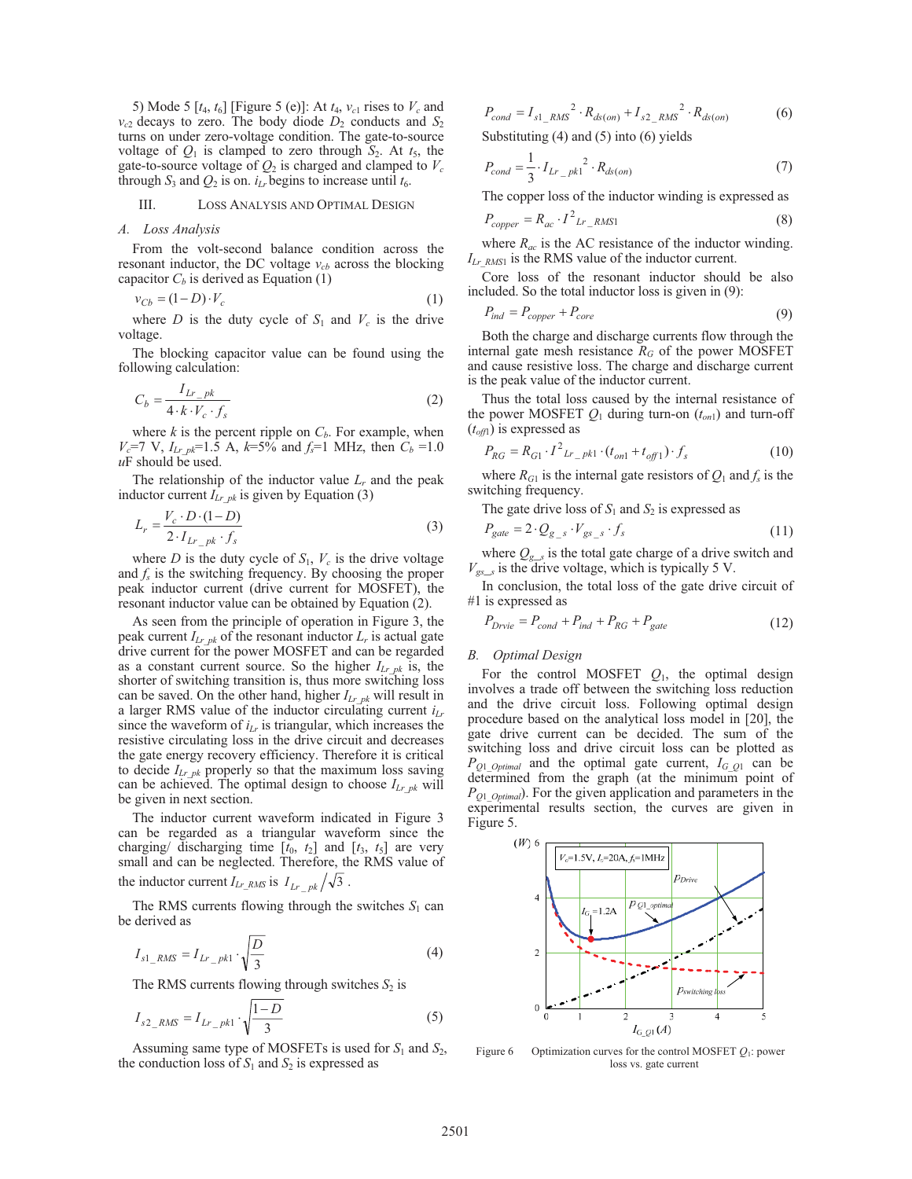5) Mode 5  $[t_4, t_6]$  [Figure 5 (e)]: At  $t_4$ ,  $v_{c1}$  rises to  $V_c$  and  $v_{c2}$  decays to zero. The body diode  $D_2$  conducts and  $S_2$ turns on under zero-voltage condition. The gate-to-source voltage of  $Q_1$  is clamped to zero through  $S_2$ . At  $t_5$ , the gate-to-source voltage of  $Q_2$  is charged and clamped to  $V_c$ through  $S_3$  and  $Q_2$  is on.  $i_L$  begins to increase until  $t_6$ .

## III. LOSS ANALYSIS AND OPTIMAL DESIGN

## *A. Loss Analysis*

From the volt-second balance condition across the resonant inductor, the DC voltage  $v_{cb}$  across the blocking capacitor  $C_b$  is derived as Equation (1)

$$
v_{Cb} = (1 - D) \cdot V_c \tag{1}
$$

where *D* is the duty cycle of  $S_1$  and  $V_c$  is the drive voltage.

The blocking capacitor value can be found using the following calculation:

$$
C_b = \frac{I_{Lr\_pk}}{4 \cdot k \cdot V_c \cdot f_s}
$$
 (2)

where  $k$  is the percent ripple on  $C_b$ . For example, when  $V_c$ =7 V,  $I_{Lr\_pk}$ =1.5 A,  $k$ =5% and  $f_s$ =1 MHz, then  $C_b$  =1.0  $uF$  should be used.

The relationship of the inductor value  $L_r$  and the peak inductor current  $I_{Lrpk}$  is given by Equation (3)

$$
L_r = \frac{V_c \cdot D \cdot (1 - D)}{2 \cdot I_{Lr} \cdot p_k \cdot f_s}
$$
\n<sup>(3)</sup>

where *D* is the duty cycle of  $S_1$ ,  $V_c$  is the drive voltage and  $f_s$  is the switching frequency. By choosing the proper peak inductor current (drive current for MOSFET), the resonant inductor value can be obtained by Equation (2).

As seen from the principle of operation in Figure 3, the peak current  $I_{Lr_p k}$  of the resonant inductor  $L_r$  is actual gate drive current for the power MOSFET and can be regarded as a constant current source. So the higher  $I_{Lrpk}$  is, the shorter of switching transition is, thus more switching loss can be saved. On the other hand, higher  $I_{Lrpk}$  will result in a larger RMS value of the inductor circulating current  $i_{Lr}$ since the waveform of  $i_{Lr}$  is triangular, which increases the resistive circulating loss in the drive circuit and decreases the gate energy recovery efficiency. Therefore it is critical to decide  $I_{Lrpk}$  properly so that the maximum loss saving can be achieved. The optimal design to choose *ILr\_pk* will be given in next section.

The inductor current waveform indicated in Figure 3 can be regarded as a triangular waveform since the charging/ discharging time  $[t_0, t_2]$  and  $[t_3, t_5]$  are very small and can be neglected. Therefore, the RMS value of the inductor current  $I_{Lr_RMS}$  is  $I_{Lr}$   $_{pk}/\sqrt{3}$ .

The RMS currents flowing through the switches  $S_1$  can be derived as

$$
I_{s1\_RMS} = I_{Lr\_pk1} \cdot \sqrt{\frac{D}{3}}
$$
 (4)

The RMS currents flowing through switches  $S_2$  is

$$
I_{s2\_RMS} = I_{Lr\_pk1} \cdot \sqrt{\frac{1-D}{3}}
$$
 (5)

Assuming same type of MOSFETs is used for *S*1 and *S*2, the conduction loss of  $S_1$  and  $S_2$  is expressed as

$$
P_{cond} = I_{s1\_RMS}^2 \cdot R_{ds(on)} + I_{s2\_RMS}^2 \cdot R_{ds(on)}
$$
(6)

Substituting (4) and (5) into (6) yields

$$
P_{cond} = \frac{1}{3} \cdot I_{Lr_{pkl}}^2 \cdot R_{ds(on)}
$$
 (7)

The copper loss of the inductor winding is expressed as

$$
P_{copper} = R_{ac} \cdot I^2_{LT\_RMS1}
$$
 (8)

where  $R_{ac}$  is the AC resistance of the inductor winding. *ILr\_RMS*1 is the RMS value of the inductor current.

Core loss of the resonant inductor should be also included. So the total inductor loss is given in (9):

$$
P_{ind} = P_{copper} + P_{core}
$$
\n<sup>(9)</sup>

Both the charge and discharge currents flow through the internal gate mesh resistance  $R_G$  of the power MOSFET and cause resistive loss. The charge and discharge current is the peak value of the inductor current.

Thus the total loss caused by the internal resistance of the power MOSFET  $Q_1$  during turn-on  $(t_{on1})$  and turn-off  $(t_{off}$ ) is expressed as

$$
P_{RG} = R_{G1} \cdot I^2 L_{r\_pk1} \cdot (t_{on1} + t_{off1}) \cdot f_s \tag{10}
$$

where  $R_{G1}$  is the internal gate resistors of  $Q_1$  and  $f_s$  is the switching frequency.

The gate drive loss of  $S_1$  and  $S_2$  is expressed as

$$
P_{gate} = 2 \cdot Q_{g_s} \cdot V_{gs_s} \cdot f_s \tag{11}
$$

where  $Q_{g,s}$  is the total gate charge of a drive switch and  $V_{gs\_s}$  is the drive voltage, which is typically 5 V.

In conclusion, the total loss of the gate drive circuit of #1 is expressed as

$$
P_{Drvie} = P_{cond} + P_{ind} + P_{RG} + P_{gate}
$$
\n(12)

# *B. Optimal Design*

For the control MOSFET  $Q_1$ , the optimal design involves a trade off between the switching loss reduction and the drive circuit loss. Following optimal design procedure based on the analytical loss model in [20], the gate drive current can be decided. The sum of the switching loss and drive circuit loss can be plotted as *PQ*1*\_Optimal* and the optimal gate current, *IG\_Q*1 can be determined from the graph (at the minimum point of *PQ*1*\_Optimal*). For the given application and parameters in the experimental results section, the curves are given in Figure 5.



Figure 6 Optimization curves for the control MOSFET *Q*1: power loss vs. gate current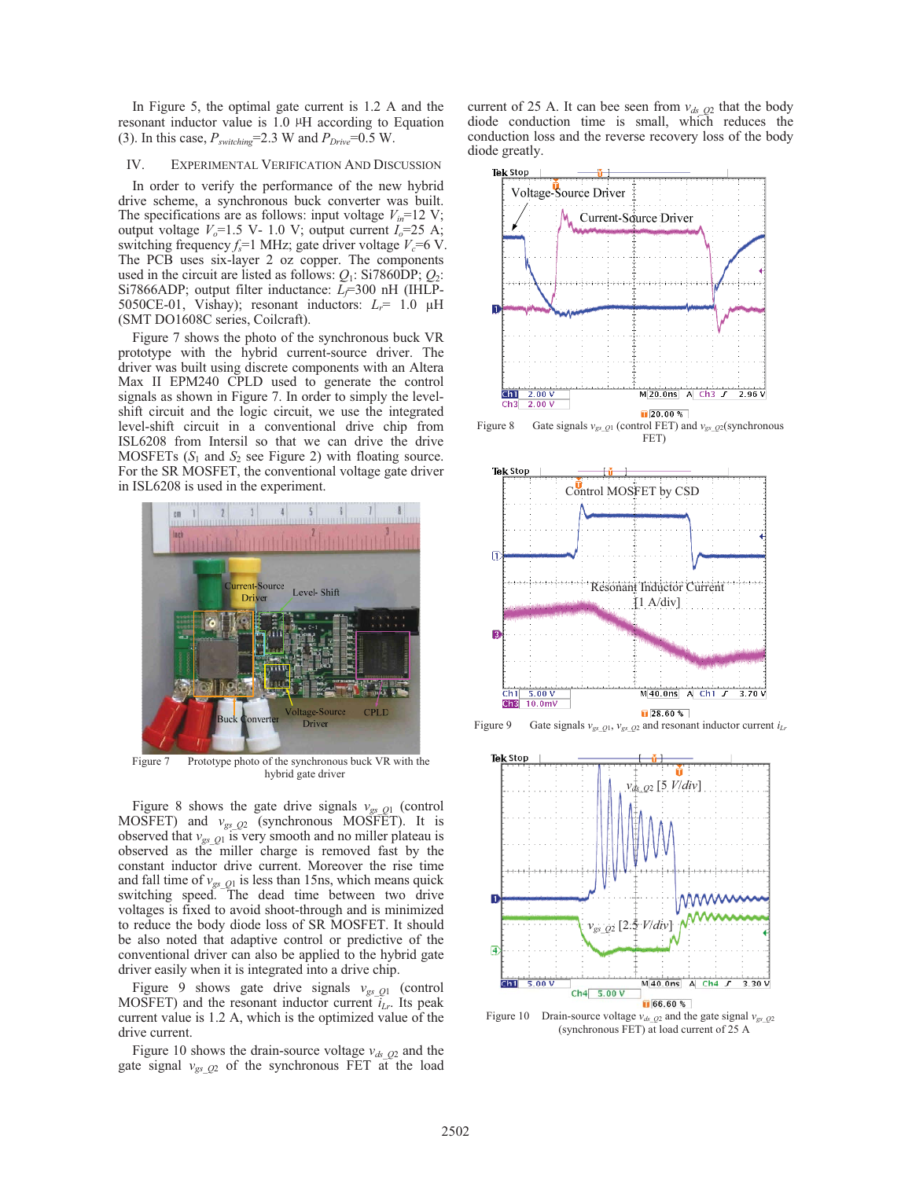In Figure 5, the optimal gate current is 1.2 A and the resonant inductor value is 1.0  $\mu$ H according to Equation (3). In this case,  $P_{switching}$ =2.3 W and  $P_{Drive}$ =0.5 W.

# IV. EXPERIMENTAL VERIFICATION AND DISCUSSION

In order to verify the performance of the new hybrid drive scheme, a synchronous buck converter was built. The specifications are as follows: input voltage  $V_{in}$ =12 V; output voltage  $V_o$ =1.5 V- 1.0 V; output current  $I_o$ =25 A; switching frequency  $f_s$ =1 MHz; gate driver voltage  $V_c$ =6 V. The PCB uses six-layer 2 oz copper. The components used in the circuit are listed as follows:  $Q_1$ : Si7860DP;  $Q_2$ : Si7866ADP; output filter inductance: *L<sub>f</sub>*=300 nH (IHLP-5050CE-01, Vishay); resonant inductors:  $L_r$ = 1.0  $\mu$ H (SMT DO1608C series, Coilcraft).

Figure 7 shows the photo of the synchronous buck VR prototype with the hybrid current-source driver. The driver was built using discrete components with an Altera Max II EPM240 CPLD used to generate the control signals as shown in Figure 7. In order to simply the levelshift circuit and the logic circuit, we use the integrated level-shift circuit in a conventional drive chip from ISL6208 from Intersil so that we can drive the drive MOSFETs  $(S_1 \text{ and } S_2 \text{ see Figure 2})$  with floating source. For the SR MOSFET, the conventional voltage gate driver in ISL6208 is used in the experiment.



Figure 7 Prototype photo of the synchronous buck VR with the hybrid gate driver

Figure 8 shows the gate drive signals  $v_{gsQ1}$  (control MOSFET) and  $v_{gs\_Q2}$  (synchronous MOSFET). It is observed that *vgs*\_*<sup>Q</sup>*1 is very smooth and no miller plateau is observed as the miller charge is removed fast by the constant inductor drive current. Moreover the rise time and fall time of  $v_{gsQ1}$  is less than 15ns, which means quick switching speed. The dead time between two drive voltages is fixed to avoid shoot-through and is minimized to reduce the body diode loss of SR MOSFET. It should be also noted that adaptive control or predictive of the conventional driver can also be applied to the hybrid gate driver easily when it is integrated into a drive chip.

Figure 9 shows gate drive signals *vgs*\_*<sup>Q</sup>*1 (control MOSFET) and the resonant inductor current  $i_{Lr}$ . Its peak current value is 1.2 A, which is the optimized value of the drive current.

Figure 10 shows the drain-source voltage  $v_{ds_2Q_2}$  and the gate signal  $v_{gs\_Q2}$  of the synchronous FET at the load current of 25 A. It can bee seen from  $v_{ds}$   $_{Q2}$  that the body diode conduction time is small, which reduces the conduction loss and the reverse recovery loss of the body diode greatly.



Figure 8 Gate signals  $v_{gs\_Q1}$  (control FET) and  $v_{gs\_Q2}$  (synchronous FET)



Figure 9 Gate signals *vgs*\_*<sup>Q</sup>*1, *vgs*\_*<sup>Q</sup>*2 and resonant inductor current *iLr*



Figure 10 Drain-source voltage  $v_{ds}$   $_{Q2}$  and the gate signal  $v_{gs}$   $_{Q2}$ (synchronous FET) at load current of 25 A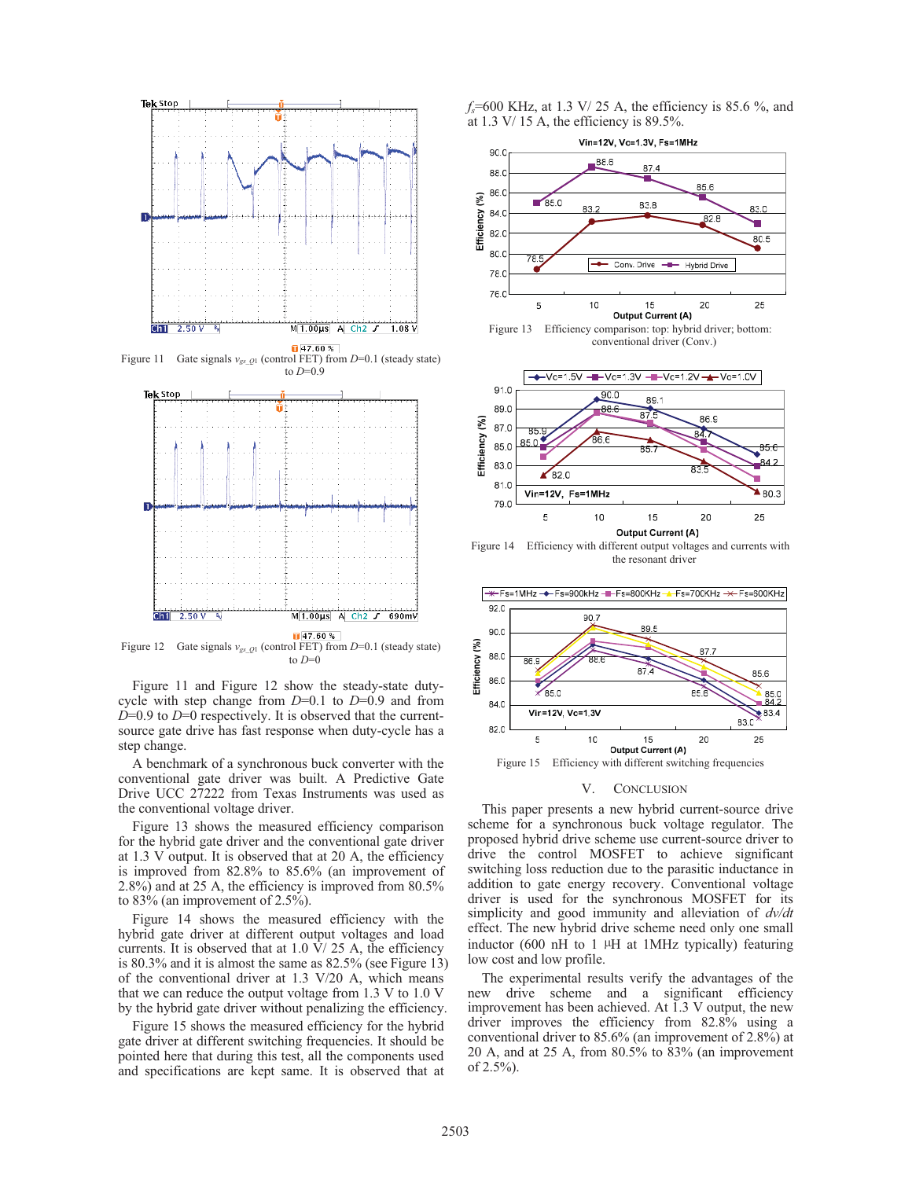

Figure 11 Gate signals *vgs*\_*<sup>Q</sup>*1 (control FET) from *D*=0.1 (steady state) to *D*=0.9



Figure 12 Gate signals *vgs*\_*<sup>Q</sup>*1 (control FET) from *D*=0.1 (steady state) to  $D=0$ 

Figure 11 and Figure 12 show the steady-state dutycycle with step change from *D*=0.1 to *D*=0.9 and from *D*=0.9 to *D*=0 respectively. It is observed that the currentsource gate drive has fast response when duty-cycle has a step change.

A benchmark of a synchronous buck converter with the conventional gate driver was built. A Predictive Gate Drive UCC 27222 from Texas Instruments was used as the conventional voltage driver.

Figure 13 shows the measured efficiency comparison for the hybrid gate driver and the conventional gate driver at 1.3 V output. It is observed that at 20 A, the efficiency is improved from 82.8% to 85.6% (an improvement of 2.8%) and at 25 A, the efficiency is improved from 80.5% to 83% (an improvement of 2.5%).

Figure 14 shows the measured efficiency with the hybrid gate driver at different output voltages and load currents. It is observed that at 1.0 V/ 25 A, the efficiency is 80.3% and it is almost the same as 82.5% (see Figure 13) of the conventional driver at 1.3 V/20 A, which means that we can reduce the output voltage from 1.3 V to 1.0 V by the hybrid gate driver without penalizing the efficiency.

Figure 15 shows the measured efficiency for the hybrid gate driver at different switching frequencies. It should be pointed here that during this test, all the components used and specifications are kept same. It is observed that at





conventional driver (Conv.)



Figure 14 Efficiency with different output voltages and currents with the resonant driver



#### V. CONCLUSION

This paper presents a new hybrid current-source drive scheme for a synchronous buck voltage regulator. The proposed hybrid drive scheme use current-source driver to drive the control MOSFET to achieve significant switching loss reduction due to the parasitic inductance in addition to gate energy recovery. Conventional voltage driver is used for the synchronous MOSFET for its simplicity and good immunity and alleviation of *dv/dt* effect. The new hybrid drive scheme need only one small inductor  $(600 \text{ nH}$  to 1  $\mu$ H at 1MHz typically) featuring low cost and low profile.

The experimental results verify the advantages of the new drive scheme and a significant efficiency improvement has been achieved. At 1.3 V output, the new driver improves the efficiency from 82.8% using a conventional driver to 85.6% (an improvement of 2.8%) at 20 A, and at 25 A, from 80.5% to 83% (an improvement of 2.5%).